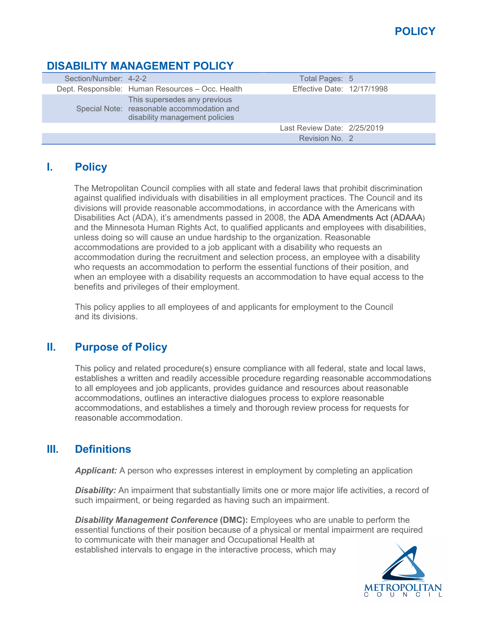### **DISABILITY MANAGEMENT POLICY**

| Section/Number: 4-2-2 |                                                                                                              | Total Pages: 5              |  |
|-----------------------|--------------------------------------------------------------------------------------------------------------|-----------------------------|--|
|                       | Dept. Responsible: Human Resources - Occ. Health                                                             | Effective Date: 12/17/1998  |  |
|                       | This supersedes any previous<br>Special Note: reasonable accommodation and<br>disability management policies |                             |  |
|                       |                                                                                                              | Last Review Date: 2/25/2019 |  |
|                       |                                                                                                              | Revision No. 2              |  |

# **I. Policy**

The Metropolitan Council complies with all state and federal laws that prohibit discrimination against qualified individuals with disabilities in all employment practices. The Council and its divisions will provide reasonable accommodations, in accordance with the Americans with Disabilities Act (ADA), it's amendments passed in 2008, the ADA Amendments Act (ADAAA) and the Minnesota Human Rights Act, to qualified applicants and employees with disabilities, unless doing so will cause an undue hardship to the organization. Reasonable accommodations are provided to a job applicant with a disability who requests an accommodation during the recruitment and selection process, an employee with a disability who requests an accommodation to perform the essential functions of their position, and when an employee with a disability requests an accommodation to have equal access to the benefits and privileges of their employment.

This policy applies to all employees of and applicants for employment to the Council and its divisions.

## **II. Purpose of Policy**

This policy and related procedure(s) ensure compliance with all federal, state and local laws, establishes a written and readily accessible procedure regarding reasonable accommodations to all employees and job applicants, provides guidance and resources about reasonable accommodations, outlines an interactive dialogues process to explore reasonable accommodations, and establishes a timely and thorough review process for requests for reasonable accommodation.

## **III. Definitions**

**Applicant:** A person who expresses interest in employment by completing an application

**Disability:** An impairment that substantially limits one or more major life activities, a record of such impairment, or being regarded as having such an impairment.

*Disability Management Conference* **(DMC):** Employees who are unable to perform the essential functions of their position because of a physical or mental impairment are required to communicate with their manager and Occupational Health at established intervals to engage in the interactive process, which may

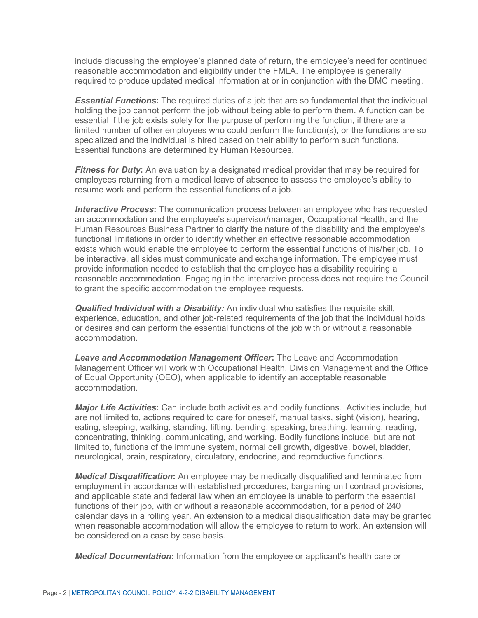include discussing the employee's planned date of return, the employee's need for continued reasonable accommodation and eligibility under the FMLA. The employee is generally required to produce updated medical information at or in conjunction with the DMC meeting.

*Essential Functions***:** The required duties of a job that are so fundamental that the individual holding the job cannot perform the job without being able to perform them. A function can be essential if the job exists solely for the purpose of performing the function, if there are a limited number of other employees who could perform the function(s), or the functions are so specialized and the individual is hired based on their ability to perform such functions. Essential functions are determined by Human Resources.

*Fitness for Duty***:** An evaluation by a designated medical provider that may be required for employees returning from a medical leave of absence to assess the employee's ability to resume work and perform the essential functions of a job.

*Interactive Process***:** The communication process between an employee who has requested an accommodation and the employee's supervisor/manager, Occupational Health, and the Human Resources Business Partner to clarify the nature of the disability and the employee's functional limitations in order to identify whether an effective reasonable accommodation exists which would enable the employee to perform the essential functions of his/her job. To be interactive, all sides must communicate and exchange information. The employee must provide information needed to establish that the employee has a disability requiring a reasonable accommodation. Engaging in the interactive process does not require the Council to grant the specific accommodation the employee requests.

*Qualified Individual with a Disability:* An individual who satisfies the requisite skill, experience, education, and other job-related requirements of the job that the individual holds or desires and can perform the essential functions of the job with or without a reasonable accommodation.

*Leave and Accommodation Management Officer***:** The Leave and Accommodation Management Officer will work with Occupational Health, Division Management and the Office of Equal Opportunity (OEO), when applicable to identify an acceptable reasonable accommodation.

*Major Life Activities***:** Can include both activities and bodily functions. Activities include, but are not limited to, actions required to care for oneself, manual tasks, sight (vision), hearing, eating, sleeping, walking, standing, lifting, bending, speaking, breathing, learning, reading, concentrating, thinking, communicating, and working. Bodily functions include, but are not limited to, functions of the immune system, normal cell growth, digestive, bowel, bladder, neurological, brain, respiratory, circulatory, endocrine, and reproductive functions.

*Medical Disqualification***:** An employee may be medically disqualified and terminated from employment in accordance with established procedures, bargaining unit contract provisions, and applicable state and federal law when an employee is unable to perform the essential functions of their job, with or without a reasonable accommodation, for a period of 240 calendar days in a rolling year. An extension to a medical disqualification date may be granted when reasonable accommodation will allow the employee to return to work. An extension will be considered on a case by case basis.

*Medical Documentation***:** Information from the employee or applicant's health care or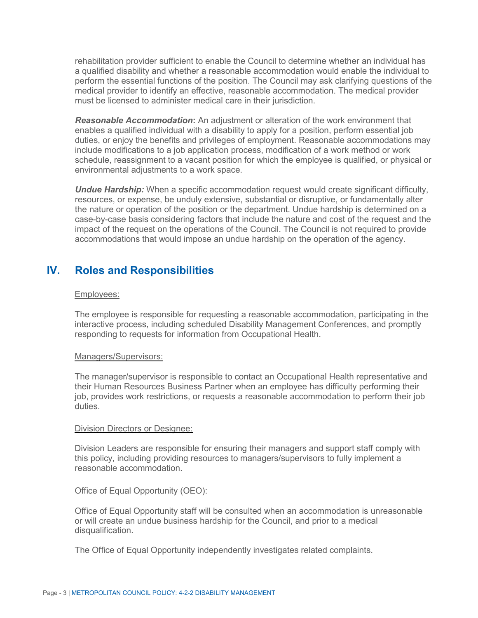rehabilitation provider sufficient to enable the Council to determine whether an individual has a qualified disability and whether a reasonable accommodation would enable the individual to perform the essential functions of the position. The Council may ask clarifying questions of the medical provider to identify an effective, reasonable accommodation. The medical provider must be licensed to administer medical care in their jurisdiction.

*Reasonable Accommodation***:** An adjustment or alteration of the work environment that enables a qualified individual with a disability to apply for a position, perform essential job duties, or enjoy the benefits and privileges of employment. Reasonable accommodations may include modifications to a job application process, modification of a work method or work schedule, reassignment to a vacant position for which the employee is qualified, or physical or environmental adjustments to a work space.

*Undue Hardship:* When a specific accommodation request would create significant difficulty, resources, or expense, be unduly extensive, substantial or disruptive, or fundamentally alter the nature or operation of the position or the department. Undue hardship is determined on a case-by-case basis considering factors that include the nature and cost of the request and the impact of the request on the operations of the Council. The Council is not required to provide accommodations that would impose an undue hardship on the operation of the agency.

### **IV. Roles and Responsibilities**

#### Employees:

The employee is responsible for requesting a reasonable accommodation, participating in the interactive process, including scheduled Disability Management Conferences, and promptly responding to requests for information from Occupational Health.

#### Managers/Supervisors:

The manager/supervisor is responsible to contact an Occupational Health representative and their Human Resources Business Partner when an employee has difficulty performing their job, provides work restrictions, or requests a reasonable accommodation to perform their job duties.

#### Division Directors or Designee:

Division Leaders are responsible for ensuring their managers and support staff comply with this policy, including providing resources to managers/supervisors to fully implement a reasonable accommodation.

#### Office of Equal Opportunity (OEO):

Office of Equal Opportunity staff will be consulted when an accommodation is unreasonable or will create an undue business hardship for the Council, and prior to a medical disqualification.

The Office of Equal Opportunity independently investigates related complaints.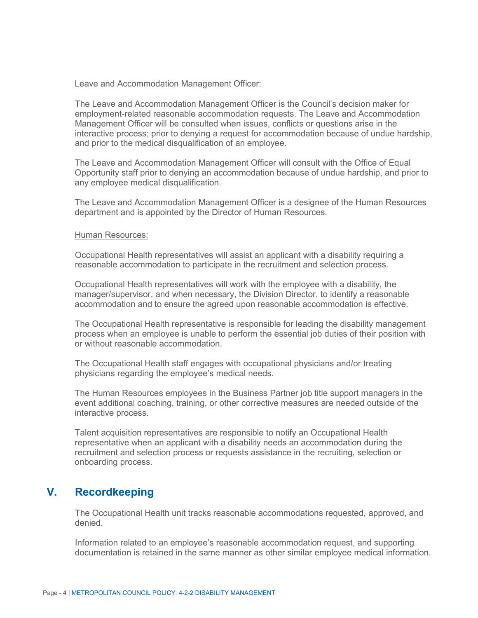#### Leave and Accommodation Management Officer:

The Leave and Accommodation Management Officer is the Council's decision maker for employment-related reasonable accommodation requests. The Leave and Accommodation Management Officer will be consulted when issues, conflicts or questions arise in the interactive process; prior to denying a request for accommodation because of undue hardship, and prior to the medical disqualification of an employee.

The Leave and Accommodation Management Officer will consult with the Office of Equal Opportunity staff prior to denying an accommodation because of undue hardship, and prior to any employee medical disqualification.

The Leave and Accommodation Management Officer is a designee of the Human Resources department and is appointed by the Director of Human Resources.

#### Human Resources:

Occupational Health representatives will assist an applicant with a disability requiring a reasonable accommodation to participate in the recruitment and selection process.

Occupational Health representatives will work with the employee with a disability, the manager/supervisor, and when necessary, the Division Director, to identify a reasonable accommodation and to ensure the agreed upon reasonable accommodation is effective.

The Occupational Health representative is responsible for leading the disability management process when an employee is unable to perform the essential job duties of their position with or without reasonable accommodation.

The Occupational Health staff engages with occupational physicians and/or treating physicians regarding the employee's medical needs.

The Human Resources employees in the Business Partner job title support managers in the event additional coaching, training, or other corrective measures are needed outside of the interactive process.

Talent acquisition representatives are responsible to notify an Occupational Health representative when an applicant with a disability needs an accommodation during the recruitment and selection process or requests assistance in the recruiting, selection or onboarding process.

### **V. Recordkeeping**

The Occupational Health unit tracks reasonable accommodations requested, approved, and denied.

Information related to an employee's reasonable accommodation request, and supporting documentation is retained in the same manner as other similar employee medical information.